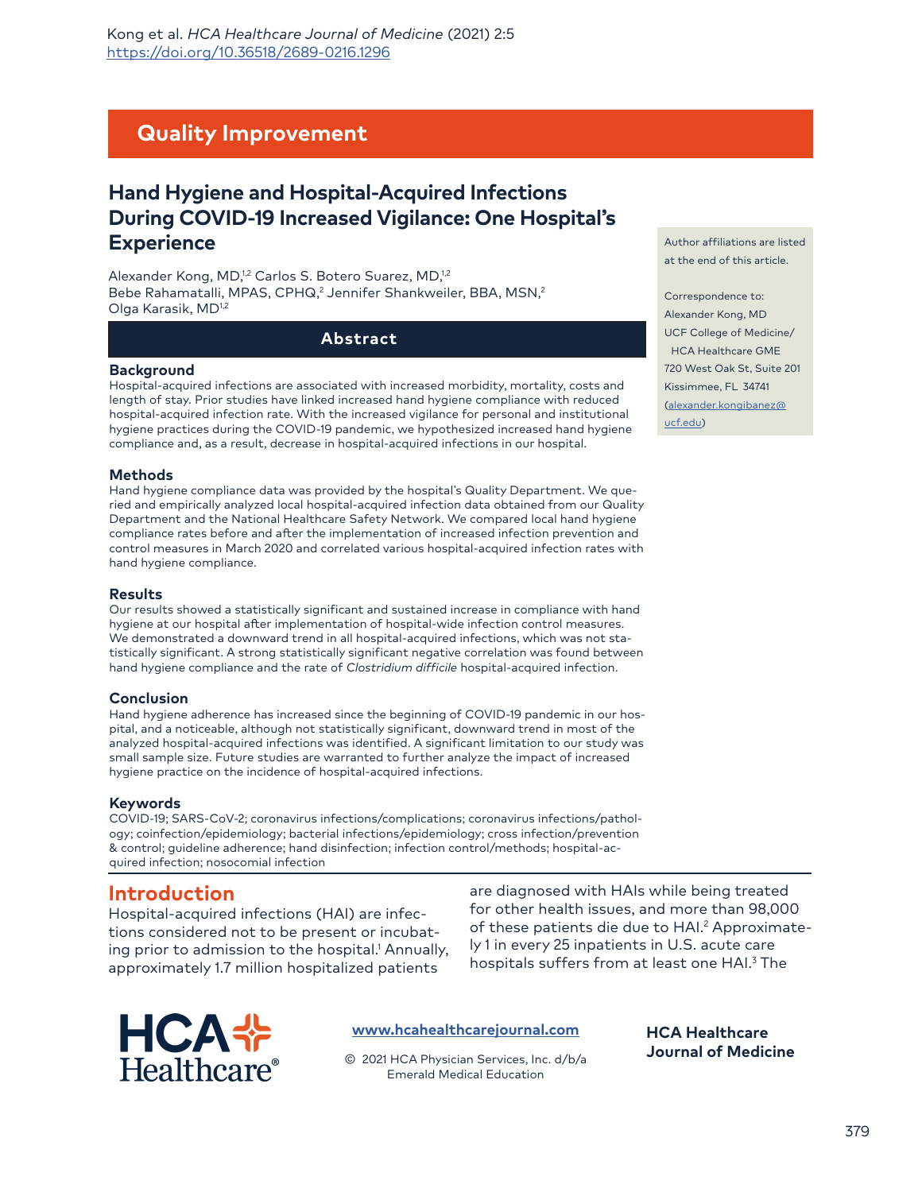# **Quality Improvement**

# **Hand Hygiene and Hospital-Acquired Infections During COVID-19 Increased Vigilance: One Hospital's Experience**

Alexander Kong, MD,<sup>1,2</sup> Carlos S. Botero Suarez, MD,<sup>1,2</sup> Bebe Rahamatalli, MPAS, CPHQ,<sup>2</sup> Jennifer Shankweiler, BBA, MSN,<sup>2</sup> Olga Karasik, MD1,2

#### **Abstract**

#### **Background**

Hospital-acquired infections are associated with increased morbidity, mortality, costs and length of stay. Prior studies have linked increased hand hygiene compliance with reduced hospital-acquired infection rate. With the increased vigilance for personal and institutional hygiene practices during the COVID-19 pandemic, we hypothesized increased hand hygiene compliance and, as a result, decrease in hospital-acquired infections in our hospital.

#### **Methods**

Hand hygiene compliance data was provided by the hospital's Quality Department. We queried and empirically analyzed local hospital-acquired infection data obtained from our Quality Department and the National Healthcare Safety Network. We compared local hand hygiene compliance rates before and after the implementation of increased infection prevention and control measures in March 2020 and correlated various hospital-acquired infection rates with hand hygiene compliance.

#### **Results**

Our results showed a statistically significant and sustained increase in compliance with hand hygiene at our hospital after implementation of hospital-wide infection control measures. We demonstrated a downward trend in all hospital-acquired infections, which was not statistically significant. A strong statistically significant negative correlation was found between hand hygiene compliance and the rate of *Clostridium difficile* hospital-acquired infection.

#### **Conclusion**

Hand hygiene adherence has increased since the beginning of COVID-19 pandemic in our hospital, and a noticeable, although not statistically significant, downward trend in most of the analyzed hospital-acquired infections was identified. A significant limitation to our study was small sample size. Future studies are warranted to further analyze the impact of increased hygiene practice on the incidence of hospital-acquired infections.

#### **Keywords**

COVID-19; SARS-CoV-2; coronavirus infections/complications; coronavirus infections/pathology; coinfection/epidemiology; bacterial infections/epidemiology; cross infection/prevention & control; guideline adherence; hand disinfection; infection control/methods; hospital-acquired infection; nosocomial infection

## **Introduction**

Hospital-acquired infections (HAI) are infections considered not to be present or incubating prior to admission to the hospital.<sup>1</sup> Annually, approximately 1.7 million hospitalized patients

are diagnosed with HAIs while being treated for other health issues, and more than 98,000 of these patients die due to HAI.<sup>2</sup> Approximately 1 in every 25 inpatients in U.S. acute care hospitals suffers from at least one HAI.3 The

> **HCA Healthcare Journal of Medicine**



#### **[www.hcahealthcarejournal.com](http://www.hcahealthcarejournal.com)**

© 2021 HCA Physician Services, Inc. d/b/a Emerald Medical Education

Author affiliations are listed at the end of this article.

Correspondence to: Alexander Kong, MD UCF College of Medicine/ HCA Healthcare GME 720 West Oak St, Suite 201 [Kissimmee, FL 34741](mailto:alexander.kongibanez%40ucf.edu?subject=) [\(alexand](mailto:alexander.kongibanez%40ucf.edu?subject=)er.kongibanez@ ucf.edu)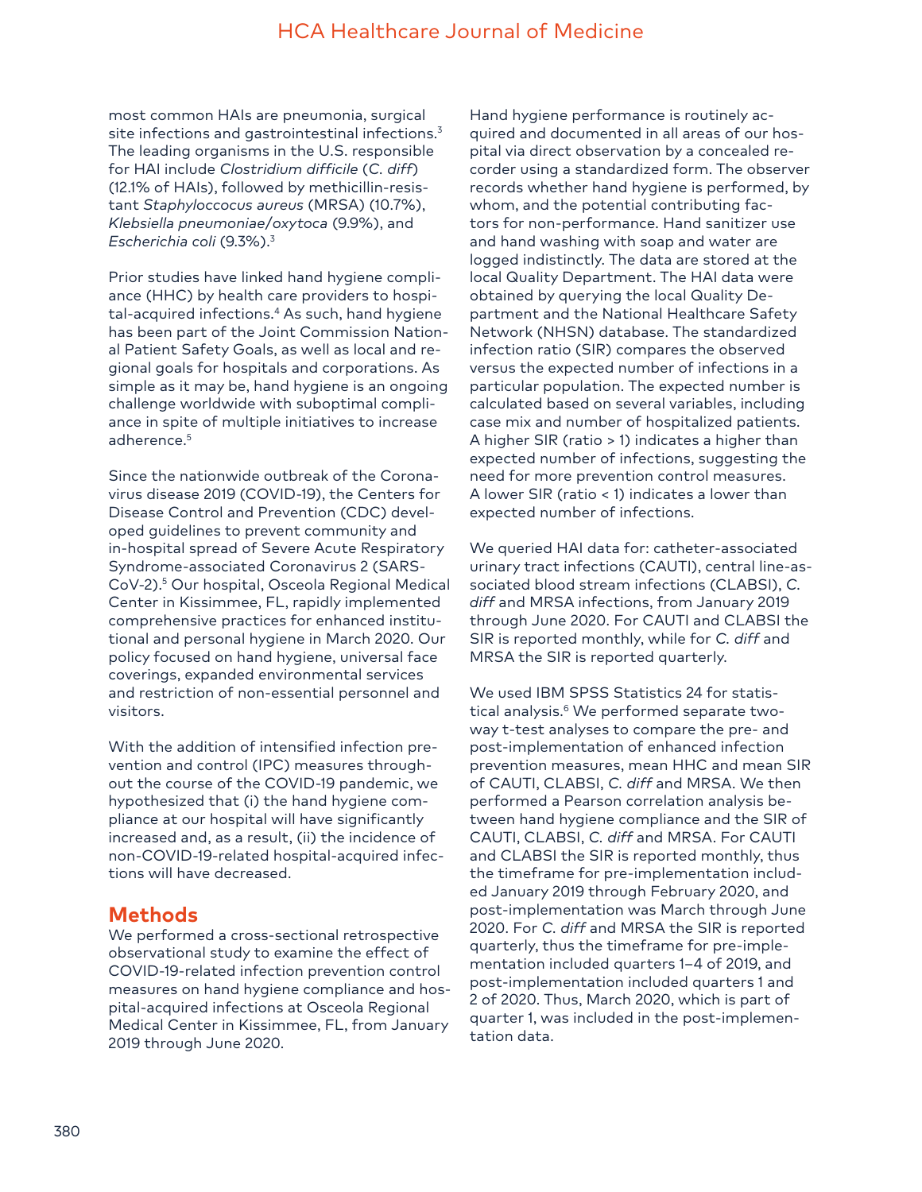most common HAIs are pneumonia, surgical site infections and gastrointestinal infections.<sup>3</sup> The leading organisms in the U.S. responsible for HAI include *Clostridium difficile* (*C. diff*) (12.1% of HAIs), followed by methicillin-resistant *Staphyloccocus aureus* (MRSA) (10.7%), *Klebsiella pneumoniae*/*oxytoca* (9.9%), and *Escherichia coli* (9.3%).3

Prior studies have linked hand hygiene compliance (HHC) by health care providers to hospital-acquired infections.<sup>4</sup> As such, hand hygiene has been part of the Joint Commission National Patient Safety Goals, as well as local and regional goals for hospitals and corporations. As simple as it may be, hand hygiene is an ongoing challenge worldwide with suboptimal compliance in spite of multiple initiatives to increase adherence.<sup>5</sup>

Since the nationwide outbreak of the Coronavirus disease 2019 (COVID-19), the Centers for Disease Control and Prevention (CDC) developed guidelines to prevent community and in-hospital spread of Severe Acute Respiratory Syndrome-associated Coronavirus 2 (SARS-CoV-2).<sup>5</sup> Our hospital, Osceola Regional Medical Center in Kissimmee, FL, rapidly implemented comprehensive practices for enhanced institutional and personal hygiene in March 2020. Our policy focused on hand hygiene, universal face coverings, expanded environmental services and restriction of non-essential personnel and visitors.

With the addition of intensified infection prevention and control (IPC) measures throughout the course of the COVID-19 pandemic, we hypothesized that (i) the hand hygiene compliance at our hospital will have significantly increased and, as a result, (ii) the incidence of non-COVID-19-related hospital-acquired infections will have decreased.

# **Methods**

We performed a cross-sectional retrospective observational study to examine the effect of COVID-19-related infection prevention control measures on hand hygiene compliance and hospital-acquired infections at Osceola Regional Medical Center in Kissimmee, FL, from January 2019 through June 2020.

Hand hygiene performance is routinely acquired and documented in all areas of our hospital via direct observation by a concealed recorder using a standardized form. The observer records whether hand hygiene is performed, by whom, and the potential contributing factors for non-performance. Hand sanitizer use and hand washing with soap and water are logged indistinctly. The data are stored at the local Quality Department. The HAI data were obtained by querying the local Quality Department and the National Healthcare Safety Network (NHSN) database. The standardized infection ratio (SIR) compares the observed versus the expected number of infections in a particular population. The expected number is calculated based on several variables, including case mix and number of hospitalized patients. A higher SIR (ratio > 1) indicates a higher than expected number of infections, suggesting the need for more prevention control measures. A lower SIR (ratio < 1) indicates a lower than expected number of infections.

We queried HAI data for: catheter-associated urinary tract infections (CAUTI), central line-associated blood stream infections (CLABSI), *C. diff* and MRSA infections, from January 2019 through June 2020. For CAUTI and CLABSI the SIR is reported monthly, while for *C. diff* and MRSA the SIR is reported quarterly.

We used IBM SPSS Statistics 24 for statistical analysis.<sup>6</sup> We performed separate twoway t-test analyses to compare the pre- and post-implementation of enhanced infection prevention measures, mean HHC and mean SIR of CAUTI, CLABSI, *C. diff* and MRSA. We then performed a Pearson correlation analysis between hand hygiene compliance and the SIR of CAUTI, CLABSI, *C. diff* and MRSA. For CAUTI and CLABSI the SIR is reported monthly, thus the timeframe for pre-implementation included January 2019 through February 2020, and post-implementation was March through June 2020. For *C. diff* and MRSA the SIR is reported quarterly, thus the timeframe for pre-implementation included quarters 1–4 of 2019, and post-implementation included quarters 1 and 2 of 2020. Thus, March 2020, which is part of quarter 1, was included in the post-implementation data.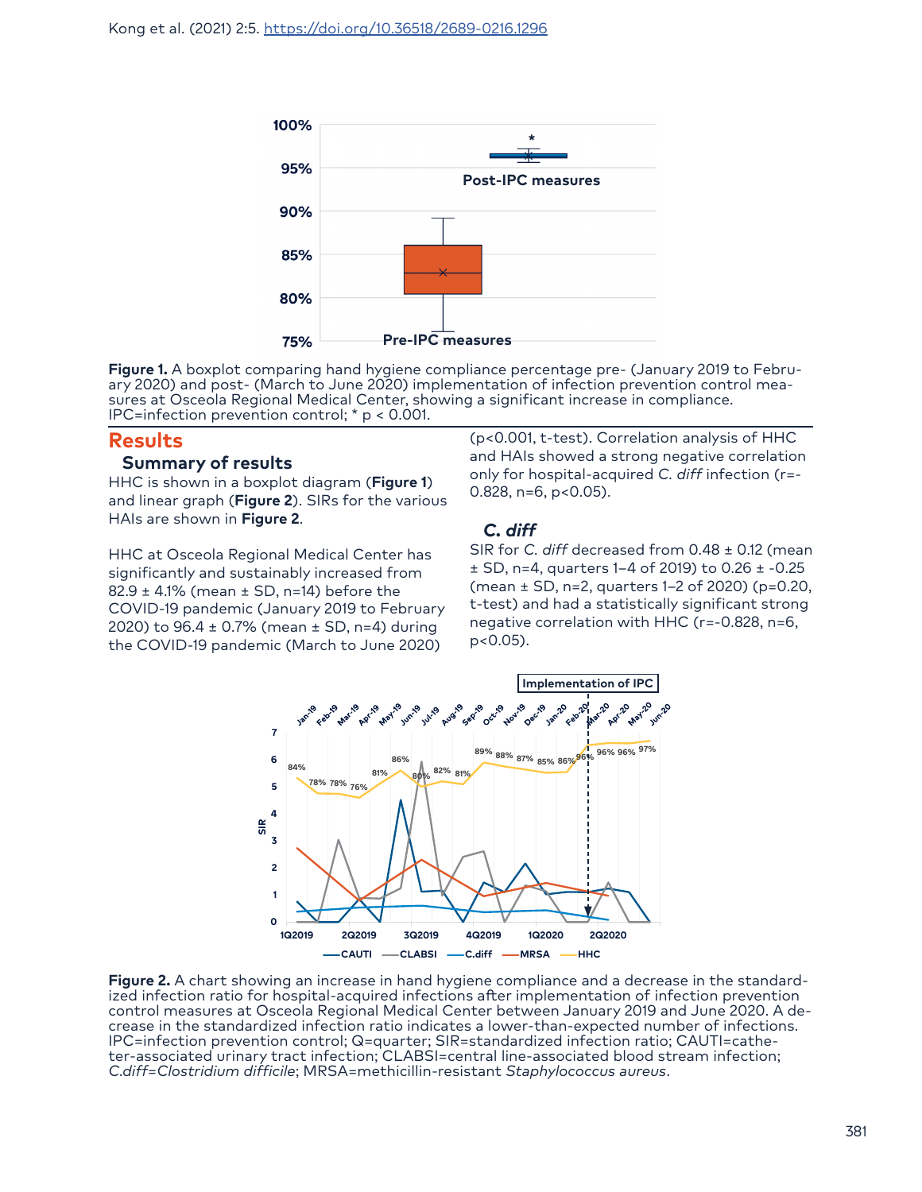

**Figure 1.** A boxplot comparing hand hygiene compliance percentage pre- (January 2019 to Febru-<br>ary 2020) and post- (March to June 2020) implementation of infection prevention control mea-<br>sures at Osceola Regional Medical IPC=infection prevention control; \* p < 0.001.

### **Results**

#### **Summary of results**

HHC is shown in a boxplot diagram (**Figure 1**) and linear graph (**Figure 2**). SIRs for the various HAIs are shown in **Figure 2**.

HHC at Osceola Regional Medical Center has significantly and sustainably increased from  $82.9 \pm 4.1\%$  (mean  $\pm$  SD, n=14) before the COVID-19 pandemic (January 2019 to February 2020) to 96.4 ± 0.7% (mean ± SD, n=4) during the COVID-19 pandemic (March to June 2020)

(p<0.001, t-test). Correlation analysis of HHC and HAIs showed a strong negative correlation only for hospital-acquired *C. diff* infection (r=-  $0.828$ , n=6, p< $0.05$ ).

## *C. diff*

SIR for *C. diff* decreased from 0.48 ± 0.12 (mean ± SD, n=4, quarters 1–4 of 2019) to 0.26 ± -0.25 (mean ± SD, n=2, quarters 1–2 of 2020) (p=0.20, t-test) and had a statistically significant strong negative correlation with HHC (r=-0.828, n=6, p<0.05).



**Figure 2.** A chart showing an increase in hand hygiene compliance and a decrease in the standardized infection ratio for hospital-acquired infections after implementation of infection prevention control measures at Osceola Regional Medical Center between January 2019 and June 2020. A decrease in the standardized infection ratio indicates a lower-than-expected number of infections. IPC=infection prevention control; Q=quarter; SIR=standardized infection ratio; CAUTI=catheter-associated urinary tract infection; CLABSI=central line-associated blood stream infection; *C.diff*=*Clostridium difficile*; MRSA=methicillin-resistant *Staphylococcus aureus*.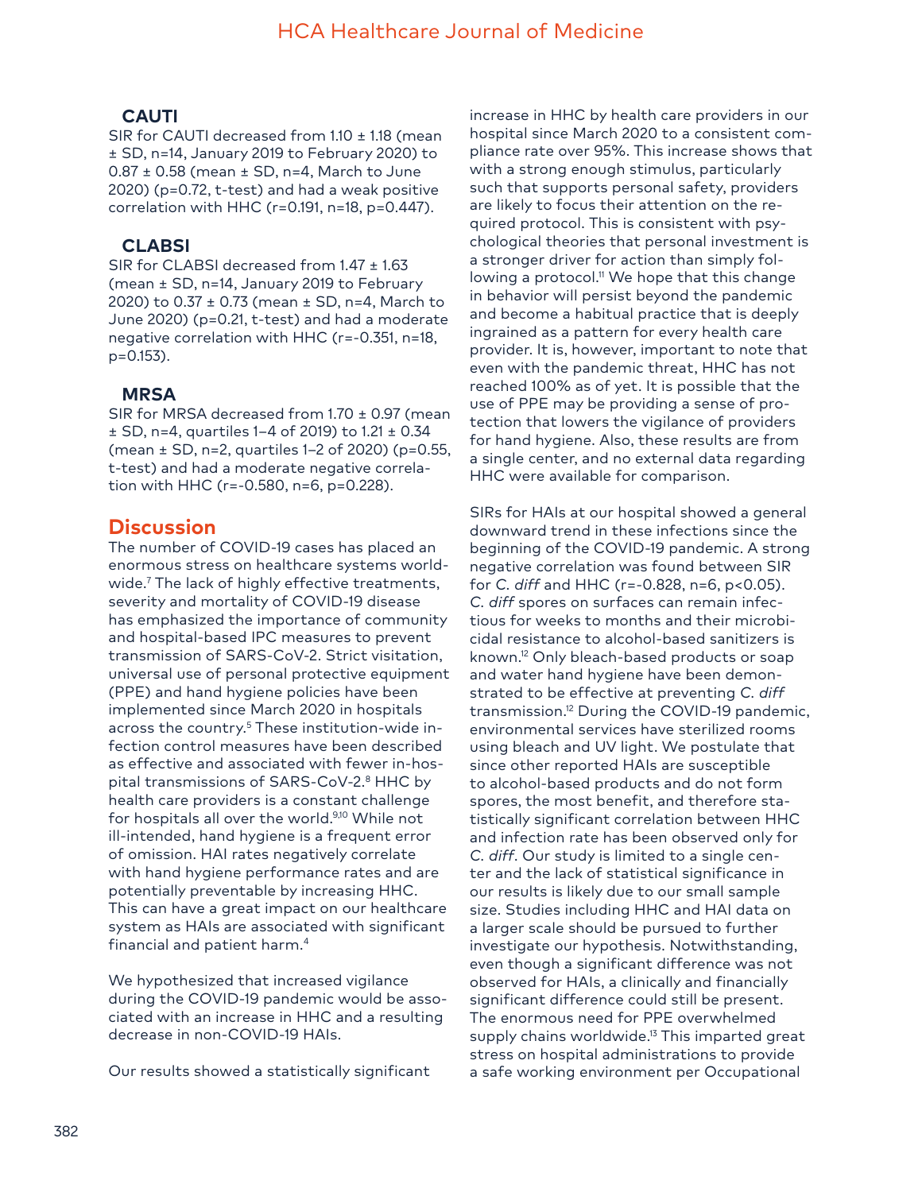## **CAUTI**

SIR for CAUTI decreased from 1.10 ± 1.18 (mean ± SD, n=14, January 2019 to February 2020) to  $0.87 \pm 0.58$  (mean  $\pm$  SD, n=4, March to June 2020) (p=0.72, t-test) and had a weak positive correlation with HHC (r=0.191, n=18, p=0.447).

## **CLABSI**

SIR for CLABSI decreased from 1.47 ± 1.63 (mean ± SD, n=14, January 2019 to February 2020) to 0.37 ± 0.73 (mean ± SD, n=4, March to June 2020) (p=0.21, t-test) and had a moderate negative correlation with HHC (r=-0.351, n=18, p=0.153).

### **MRSA**

SIR for MRSA decreased from 1.70 ± 0.97 (mean ± SD, n=4, quartiles 1–4 of 2019) to 1.21 ± 0.34 (mean ± SD, n=2, quartiles 1–2 of 2020) (p=0.55, t-test) and had a moderate negative correlation with HHC (r=-0.580, n=6, p=0.228).

## **Discussion**

The number of COVID-19 cases has placed an enormous stress on healthcare systems worldwide.7 The lack of highly effective treatments, severity and mortality of COVID-19 disease has emphasized the importance of community and hospital-based IPC measures to prevent transmission of SARS-CoV-2. Strict visitation, universal use of personal protective equipment (PPE) and hand hygiene policies have been implemented since March 2020 in hospitals across the country.<sup>5</sup> These institution-wide infection control measures have been described as effective and associated with fewer in-hospital transmissions of SARS-CoV-2.<sup>8</sup> HHC by health care providers is a constant challenge for hospitals all over the world.9,10 While not ill-intended, hand hygiene is a frequent error of omission. HAI rates negatively correlate with hand hygiene performance rates and are potentially preventable by increasing HHC. This can have a great impact on our healthcare system as HAIs are associated with significant financial and patient harm.4

We hypothesized that increased vigilance during the COVID-19 pandemic would be associated with an increase in HHC and a resulting decrease in non-COVID-19 HAIs.

Our results showed a statistically significant

increase in HHC by health care providers in our hospital since March 2020 to a consistent compliance rate over 95%. This increase shows that with a strong enough stimulus, particularly such that supports personal safety, providers are likely to focus their attention on the required protocol. This is consistent with psychological theories that personal investment is a stronger driver for action than simply following a protocol.<sup>11</sup> We hope that this change in behavior will persist beyond the pandemic and become a habitual practice that is deeply ingrained as a pattern for every health care provider. It is, however, important to note that even with the pandemic threat, HHC has not reached 100% as of yet. It is possible that the use of PPE may be providing a sense of protection that lowers the vigilance of providers for hand hygiene. Also, these results are from a single center, and no external data regarding HHC were available for comparison.

SIRs for HAIs at our hospital showed a general downward trend in these infections since the beginning of the COVID-19 pandemic. A strong negative correlation was found between SIR for *C. diff* and HHC (r=-0.828, n=6, p<0.05). *C. diff* spores on surfaces can remain infectious for weeks to months and their microbicidal resistance to alcohol-based sanitizers is known.<sup>12</sup> Only bleach-based products or soap and water hand hygiene have been demonstrated to be effective at preventing *C. diff* transmission.12 During the COVID-19 pandemic, environmental services have sterilized rooms using bleach and UV light. We postulate that since other reported HAIs are susceptible to alcohol-based products and do not form spores, the most benefit, and therefore statistically significant correlation between HHC and infection rate has been observed only for *C. diff*. Our study is limited to a single center and the lack of statistical significance in our results is likely due to our small sample size. Studies including HHC and HAI data on a larger scale should be pursued to further investigate our hypothesis. Notwithstanding, even though a significant difference was not observed for HAIs, a clinically and financially significant difference could still be present. The enormous need for PPE overwhelmed supply chains worldwide.<sup>13</sup> This imparted great stress on hospital administrations to provide a safe working environment per Occupational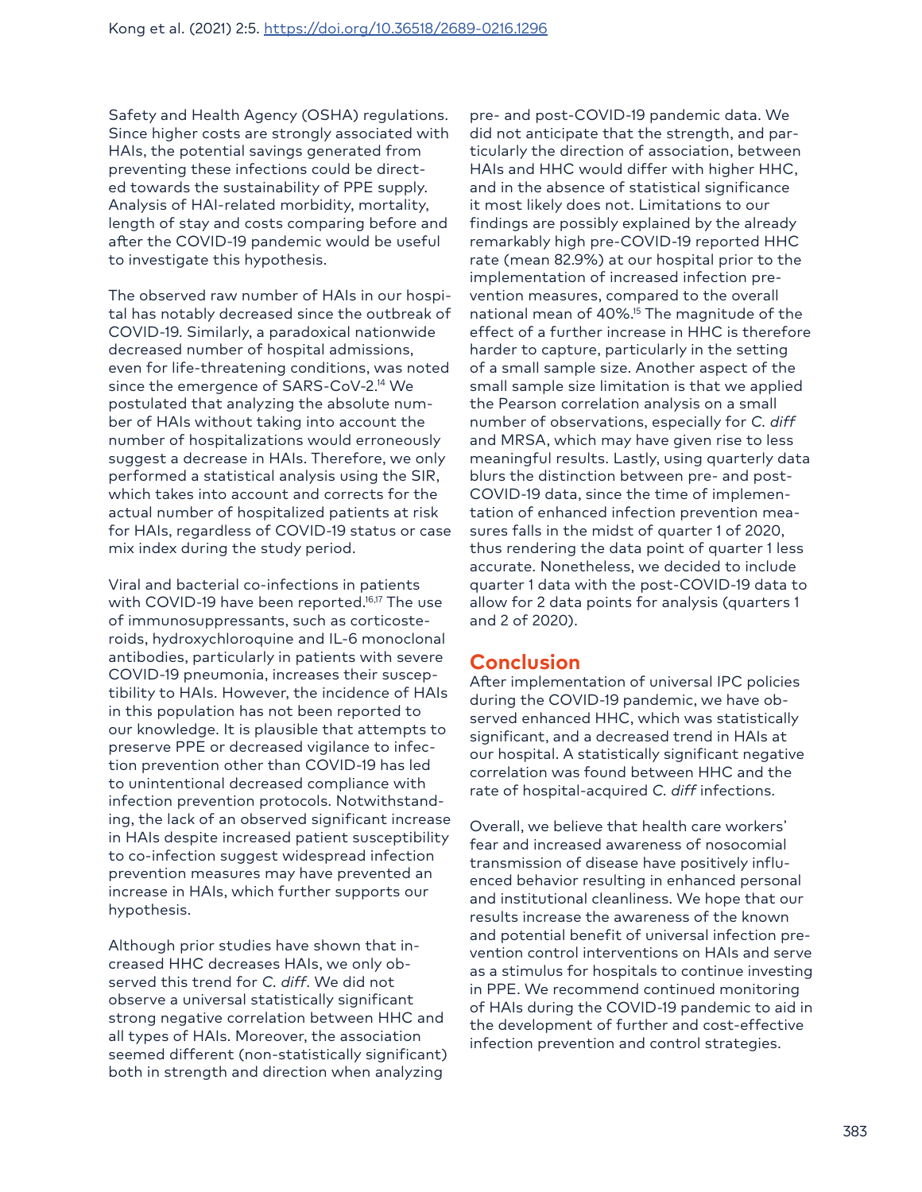Safety and Health Agency (OSHA) regulations. Since higher costs are strongly associated with HAIs, the potential savings generated from preventing these infections could be directed towards the sustainability of PPE supply. Analysis of HAI-related morbidity, mortality, length of stay and costs comparing before and after the COVID-19 pandemic would be useful to investigate this hypothesis.

The observed raw number of HAIs in our hospital has notably decreased since the outbreak of COVID-19. Similarly, a paradoxical nationwide decreased number of hospital admissions, even for life-threatening conditions, was noted since the emergence of SARS-CoV-2.14 We postulated that analyzing the absolute number of HAIs without taking into account the number of hospitalizations would erroneously suggest a decrease in HAIs. Therefore, we only performed a statistical analysis using the SIR, which takes into account and corrects for the actual number of hospitalized patients at risk for HAIs, regardless of COVID-19 status or case mix index during the study period.

Viral and bacterial co-infections in patients with COVID-19 have been reported.<sup>16,17</sup> The use of immunosuppressants, such as corticosteroids, hydroxychloroquine and IL-6 monoclonal antibodies, particularly in patients with severe COVID-19 pneumonia, increases their susceptibility to HAIs. However, the incidence of HAIs in this population has not been reported to our knowledge. It is plausible that attempts to preserve PPE or decreased vigilance to infection prevention other than COVID-19 has led to unintentional decreased compliance with infection prevention protocols. Notwithstanding, the lack of an observed significant increase in HAIs despite increased patient susceptibility to co-infection suggest widespread infection prevention measures may have prevented an increase in HAIs, which further supports our hypothesis.

Although prior studies have shown that increased HHC decreases HAIs, we only observed this trend for *C. diff*. We did not observe a universal statistically significant strong negative correlation between HHC and all types of HAIs. Moreover, the association seemed different (non-statistically significant) both in strength and direction when analyzing

pre- and post-COVID-19 pandemic data. We did not anticipate that the strength, and particularly the direction of association, between HAIs and HHC would differ with higher HHC, and in the absence of statistical significance it most likely does not. Limitations to our findings are possibly explained by the already remarkably high pre-COVID-19 reported HHC rate (mean 82.9%) at our hospital prior to the implementation of increased infection prevention measures, compared to the overall national mean of 40%.<sup>15</sup> The magnitude of the effect of a further increase in HHC is therefore harder to capture, particularly in the setting of a small sample size. Another aspect of the small sample size limitation is that we applied the Pearson correlation analysis on a small number of observations, especially for *C. diff* and MRSA, which may have given rise to less meaningful results. Lastly, using quarterly data blurs the distinction between pre- and post-COVID-19 data, since the time of implementation of enhanced infection prevention measures falls in the midst of quarter 1 of 2020, thus rendering the data point of quarter 1 less accurate. Nonetheless, we decided to include quarter 1 data with the post-COVID-19 data to allow for 2 data points for analysis (quarters 1 and 2 of 2020).

# **Conclusion**

After implementation of universal IPC policies during the COVID-19 pandemic, we have observed enhanced HHC, which was statistically significant, and a decreased trend in HAIs at our hospital. A statistically significant negative correlation was found between HHC and the rate of hospital-acquired *C. diff* infections.

Overall, we believe that health care workers' fear and increased awareness of nosocomial transmission of disease have positively influenced behavior resulting in enhanced personal and institutional cleanliness. We hope that our results increase the awareness of the known and potential benefit of universal infection prevention control interventions on HAIs and serve as a stimulus for hospitals to continue investing in PPE. We recommend continued monitoring of HAIs during the COVID-19 pandemic to aid in the development of further and cost-effective infection prevention and control strategies.